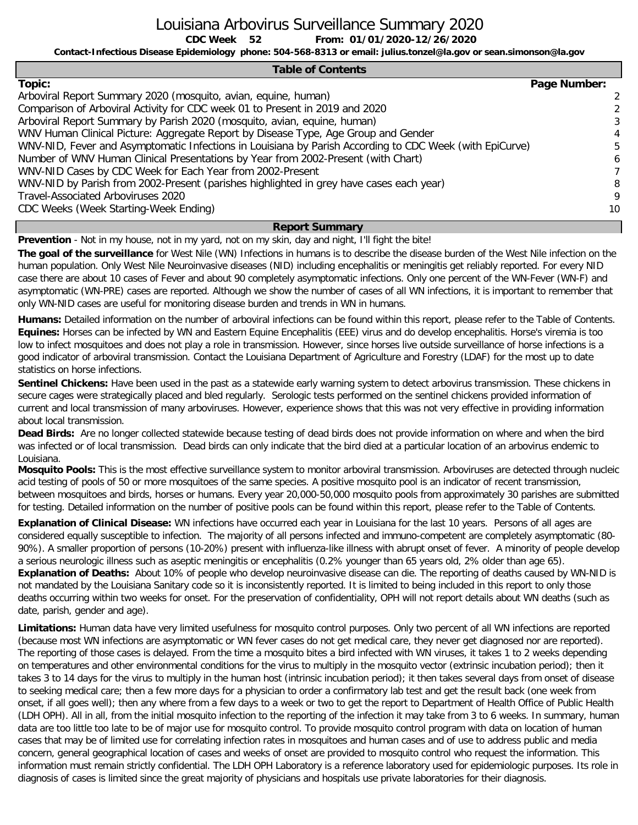Louisiana Arbovirus Surveillance Summary 2020

**CDC Week From: 01/01/2020-12/26/2020**

**Contact-Infectious Disease Epidemiology phone: 504-568-8313 or email: julius.tonzel@la.gov or sean.simonson@la.gov**

### **Table of Contents**

| Topic:                                                                                                  | Page Number:   |
|---------------------------------------------------------------------------------------------------------|----------------|
| Arboviral Report Summary 2020 (mosquito, avian, equine, human)                                          | $\mathcal{L}$  |
| Comparison of Arboviral Activity for CDC week 01 to Present in 2019 and 2020                            |                |
| Arboviral Report Summary by Parish 2020 (mosquito, avian, equine, human)                                | 3              |
| WNV Human Clinical Picture: Aggregate Report by Disease Type, Age Group and Gender                      | 4              |
| WNV-NID, Fever and Asymptomatic Infections in Louisiana by Parish According to CDC Week (with EpiCurve) | 5              |
| Number of WNV Human Clinical Presentations by Year from 2002-Present (with Chart)                       | 6              |
| WNV-NID Cases by CDC Week for Each Year from 2002-Present                                               | $\overline{7}$ |
| WNV-NID by Parish from 2002-Present (parishes highlighted in grey have cases each year)                 | 8              |
| Travel-Associated Arboviruses 2020                                                                      | 9              |
| CDC Weeks (Week Starting-Week Ending)                                                                   | 10             |

### **Report Summary**

**Prevention** - Not in my house, not in my yard, not on my skin, day and night, I'll fight the bite!

**52**

**The goal of the surveillance** for West Nile (WN) Infections in humans is to describe the disease burden of the West Nile infection on the human population. Only West Nile Neuroinvasive diseases (NID) including encephalitis or meningitis get reliably reported. For every NID case there are about 10 cases of Fever and about 90 completely asymptomatic infections. Only one percent of the WN-Fever (WN-F) and asymptomatic (WN-PRE) cases are reported. Although we show the number of cases of all WN infections, it is important to remember that only WN-NID cases are useful for monitoring disease burden and trends in WN in humans.

**Humans:** Detailed information on the number of arboviral infections can be found within this report, please refer to the Table of Contents. **Equines:** Horses can be infected by WN and Eastern Equine Encephalitis (EEE) virus and do develop encephalitis. Horse's viremia is too low to infect mosquitoes and does not play a role in transmission. However, since horses live outside surveillance of horse infections is a good indicator of arboviral transmission. Contact the Louisiana Department of Agriculture and Forestry (LDAF) for the most up to date statistics on horse infections.

**Sentinel Chickens:** Have been used in the past as a statewide early warning system to detect arbovirus transmission. These chickens in secure cages were strategically placed and bled regularly. Serologic tests performed on the sentinel chickens provided information of current and local transmission of many arboviruses. However, experience shows that this was not very effective in providing information about local transmission.

**Dead Birds:** Are no longer collected statewide because testing of dead birds does not provide information on where and when the bird was infected or of local transmission. Dead birds can only indicate that the bird died at a particular location of an arbovirus endemic to Louisiana.

**Mosquito Pools:** This is the most effective surveillance system to monitor arboviral transmission. Arboviruses are detected through nucleic acid testing of pools of 50 or more mosquitoes of the same species. A positive mosquito pool is an indicator of recent transmission, between mosquitoes and birds, horses or humans. Every year 20,000-50,000 mosquito pools from approximately 30 parishes are submitted for testing. Detailed information on the number of positive pools can be found within this report, please refer to the Table of Contents.

**Explanation of Clinical Disease:** WN infections have occurred each year in Louisiana for the last 10 years. Persons of all ages are considered equally susceptible to infection. The majority of all persons infected and immuno-competent are completely asymptomatic (80- 90%). A smaller proportion of persons (10-20%) present with influenza-like illness with abrupt onset of fever. A minority of people develop a serious neurologic illness such as aseptic meningitis or encephalitis (0.2% younger than 65 years old, 2% older than age 65). **Explanation of Deaths:** About 10% of people who develop neuroinvasive disease can die. The reporting of deaths caused by WN-NID is not mandated by the Louisiana Sanitary code so it is inconsistently reported. It is limited to being included in this report to only those deaths occurring within two weeks for onset. For the preservation of confidentiality, OPH will not report details about WN deaths (such as date, parish, gender and age).

**Limitations:** Human data have very limited usefulness for mosquito control purposes. Only two percent of all WN infections are reported (because most WN infections are asymptomatic or WN fever cases do not get medical care, they never get diagnosed nor are reported). The reporting of those cases is delayed. From the time a mosquito bites a bird infected with WN viruses, it takes 1 to 2 weeks depending on temperatures and other environmental conditions for the virus to multiply in the mosquito vector (extrinsic incubation period); then it takes 3 to 14 days for the virus to multiply in the human host (intrinsic incubation period); it then takes several days from onset of disease to seeking medical care; then a few more days for a physician to order a confirmatory lab test and get the result back (one week from onset, if all goes well); then any where from a few days to a week or two to get the report to Department of Health Office of Public Health (LDH OPH). All in all, from the initial mosquito infection to the reporting of the infection it may take from 3 to 6 weeks. In summary, human data are too little too late to be of major use for mosquito control. To provide mosquito control program with data on location of human cases that may be of limited use for correlating infection rates in mosquitoes and human cases and of use to address public and media concern, general geographical location of cases and weeks of onset are provided to mosquito control who request the information. This information must remain strictly confidential. The LDH OPH Laboratory is a reference laboratory used for epidemiologic purposes. Its role in diagnosis of cases is limited since the great majority of physicians and hospitals use private laboratories for their diagnosis.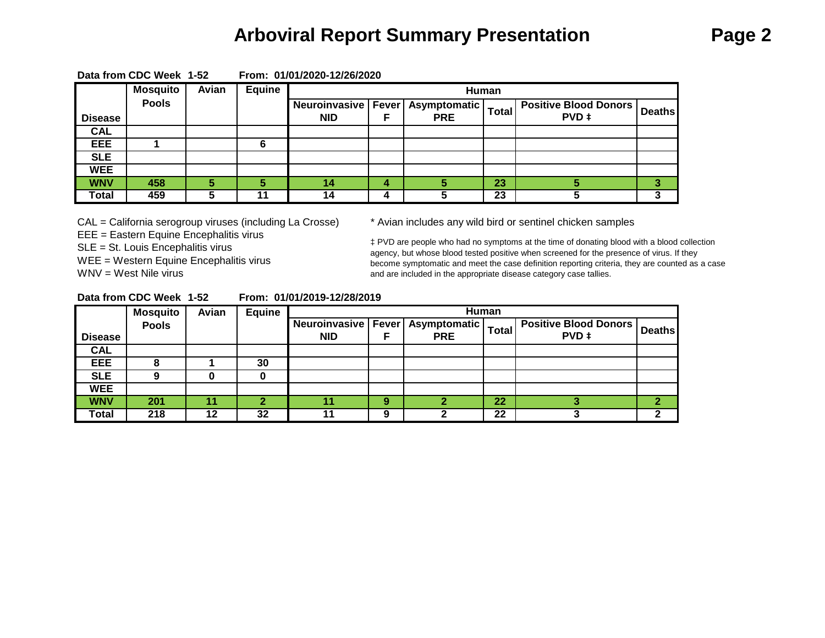# **Arboviral Report Summary Presentation Page 2**

|                  | <b>Mosquito</b> | Avian | <b>Equine</b> |            |   | Human                                |              |                                |               |
|------------------|-----------------|-------|---------------|------------|---|--------------------------------------|--------------|--------------------------------|---------------|
|                  | <b>Pools</b>    |       |               |            |   | Neuroinvasive   Fever   Asymptomatic | <b>Total</b> | <b>Positive Blood Donors  </b> | <b>Deaths</b> |
| <b>Disease</b>   |                 |       |               | <b>NID</b> |   | <b>PRE</b>                           |              | PVD ‡                          |               |
| $C\overline{AL}$ |                 |       |               |            |   |                                      |              |                                |               |
| <b>EEE</b>       |                 |       |               |            |   |                                      |              |                                |               |
| <b>SLE</b>       |                 |       |               |            |   |                                      |              |                                |               |
| <b>WEE</b>       |                 |       |               |            |   |                                      |              |                                |               |
| <b>WNV</b>       | 458             | 5     |               | 14         | 4 |                                      | 23           |                                |               |
| <b>Total</b>     | 459             |       |               | 14         | 4 |                                      | 23           |                                |               |

**Data from CDC Week 1-52 From: 01/01/2020-12/26/2020**

CAL = California serogroup viruses (including La Crosse) \* Avian includes any wild bird or sentinel chicken samples EEE = Eastern Equine Encephalitis virus SLE = St. Louis Encephalitis virus WEE = Western Equine Encephalitis virus WNV = West Nile virus

‡ PVD are people who had no symptoms at the time of donating blood with a blood collection agency, but whose blood tested positive when screened for the presence of virus. If they become symptomatic and meet the case definition reporting criteria, they are counted as a case and are included in the appropriate disease category case tallies.

| Data from CDC Week 1-52 |  |  | From: 01/01/2019-12/28/2019 |
|-------------------------|--|--|-----------------------------|
|-------------------------|--|--|-----------------------------|

|                | <b>Mosquito</b> | Avian | Equine |                                     |   |                            | Human        |                                       |               |
|----------------|-----------------|-------|--------|-------------------------------------|---|----------------------------|--------------|---------------------------------------|---------------|
| <b>Disease</b> | <b>Pools</b>    |       |        | Neuroinvasive   Fever<br><b>NID</b> |   | Asymptomatic<br><b>PRE</b> | <b>Total</b> | <b>Positive Blood Donors</b><br>PVD ‡ | <b>Deaths</b> |
| <b>CAL</b>     |                 |       |        |                                     |   |                            |              |                                       |               |
| EEE            |                 |       | 30     |                                     |   |                            |              |                                       |               |
| <b>SLE</b>     | О               |       |        |                                     |   |                            |              |                                       |               |
| <b>WEE</b>     |                 |       |        |                                     |   |                            |              |                                       |               |
| <b>WNV</b>     | 201             |       |        |                                     | 9 |                            | 22           |                                       |               |
| Total          | 218             | 12    | 32     |                                     | 9 |                            | 22           |                                       |               |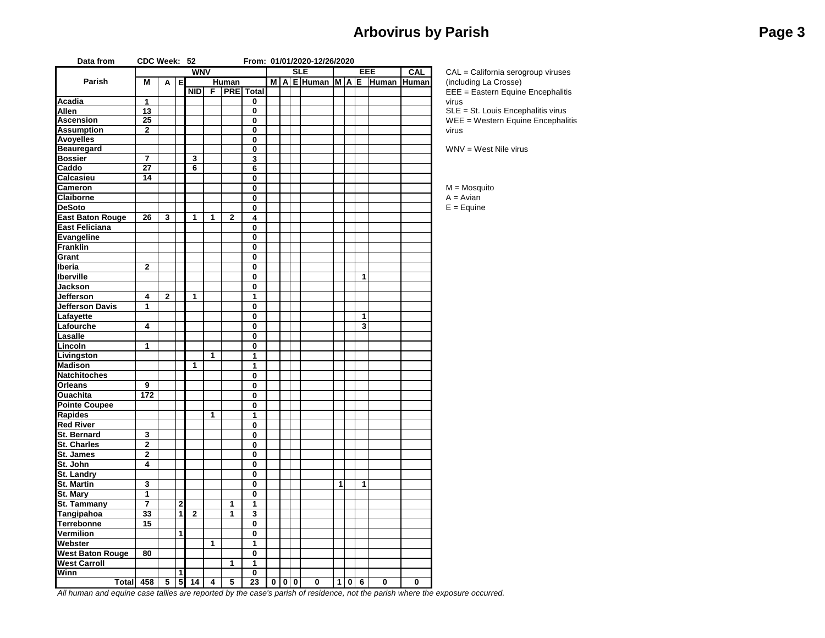## **Arbovirus by Parish Page 3**

| Data from               | CDC Week: 52            |                         |                |                 |                |                         |                         |   |              |               | From: 01/01/2020-12/26/2020 |   |             |              |                         |            |                                    |
|-------------------------|-------------------------|-------------------------|----------------|-----------------|----------------|-------------------------|-------------------------|---|--------------|---------------|-----------------------------|---|-------------|--------------|-------------------------|------------|------------------------------------|
|                         |                         |                         |                | <b>WNV</b>      |                |                         |                         |   |              | <b>SLE</b>    |                             |   |             |              | EEE                     | <b>CAL</b> | CAL = California serogroup viruses |
| Parish                  | M                       | A                       | Е              |                 |                | Human                   |                         | M | $\mathsf{A}$ |               | $E$ Human M A E             |   |             |              | Human                   | Human      | (including La Crosse)              |
|                         |                         |                         |                | NID             | $\overline{F}$ |                         | <b>PRE</b> Total        |   |              |               |                             |   |             |              |                         |            | EEE = Eastern Equine Encephalitis  |
| Acadia                  | 1                       |                         |                |                 |                |                         | 0                       |   |              |               |                             |   |             |              |                         |            | virus                              |
| <b>Allen</b>            | 13                      |                         |                |                 |                |                         | 0                       |   |              |               |                             |   |             |              |                         |            | SLE = St. Louis Encephalitis virus |
| <b>Ascension</b>        | 25                      |                         |                |                 |                |                         | $\mathbf 0$             |   |              |               |                             |   |             |              |                         |            | WEE = Western Equine Encephalitis  |
| <b>Assumption</b>       | $\mathbf{2}$            |                         |                |                 |                |                         | 0                       |   |              |               |                             |   |             |              |                         |            | virus                              |
| <b>Avoyelles</b>        |                         |                         |                |                 |                |                         | $\overline{\mathbf{0}}$ |   |              |               |                             |   |             |              |                         |            |                                    |
| <b>Beauregard</b>       |                         |                         |                |                 |                |                         | 0                       |   |              |               |                             |   |             |              |                         |            | $WW = West$ Nile virus             |
| <b>Bossier</b>          | $\overline{7}$          |                         |                | 3               |                |                         | 3                       |   |              |               |                             |   |             |              |                         |            |                                    |
| Caddo                   | $\overline{27}$         |                         |                | 6               |                |                         | 6                       |   |              |               |                             |   |             |              |                         |            |                                    |
| Calcasieu               | 14                      |                         |                |                 |                |                         | $\mathbf 0$             |   |              |               |                             |   |             |              |                         |            |                                    |
| <b>Cameron</b>          |                         |                         |                |                 |                |                         | $\mathbf 0$             |   |              |               |                             |   |             |              |                         |            | $M = M$ osquito                    |
| Claiborne               |                         |                         |                |                 |                |                         | $\mathbf 0$             |   |              |               |                             |   |             |              |                         |            | $A = Avian$                        |
| <b>DeSoto</b>           |                         |                         |                |                 |                |                         | 0                       |   |              |               |                             |   |             |              |                         |            | $E = Equine$                       |
| <b>East Baton Rouge</b> | 26                      | $\overline{\mathbf{3}}$ |                | $\overline{1}$  | $\overline{1}$ | $\overline{\mathbf{2}}$ | $\overline{\mathbf{4}}$ |   |              |               |                             |   |             |              |                         |            |                                    |
| <b>East Feliciana</b>   |                         |                         |                |                 |                |                         | $\mathbf 0$             |   |              |               |                             |   |             |              |                         |            |                                    |
|                         |                         |                         |                |                 |                |                         | $\overline{\mathbf{0}}$ |   |              |               |                             |   |             |              |                         |            |                                    |
| Evangeline              |                         |                         |                |                 |                |                         |                         |   |              |               |                             |   |             |              |                         |            |                                    |
| <b>Franklin</b>         |                         |                         |                |                 |                |                         | 0                       |   |              |               |                             |   |             |              |                         |            |                                    |
| Grant                   |                         |                         |                |                 |                |                         | 0                       |   |              |               |                             |   |             |              |                         |            |                                    |
| Iberia                  | $\mathbf 2$             |                         |                |                 |                |                         | 0                       |   |              |               |                             |   |             |              |                         |            |                                    |
| <b>Iberville</b>        |                         |                         |                |                 |                |                         | 0                       |   |              |               |                             |   |             | 1            |                         |            |                                    |
| Jackson                 |                         |                         |                |                 |                |                         | $\mathbf 0$             |   |              |               |                             |   |             |              |                         |            |                                    |
| <b>Jefferson</b>        | 4                       | $\mathbf{2}$            |                | 1               |                |                         | 1                       |   |              |               |                             |   |             |              |                         |            |                                    |
| Jefferson Davis         | 1                       |                         |                |                 |                |                         | $\mathbf 0$             |   |              |               |                             |   |             |              |                         |            |                                    |
| Lafayette               |                         |                         |                |                 |                |                         | $\bf{0}$                |   |              |               |                             |   |             | 1            |                         |            |                                    |
| Lafourche               | 4                       |                         |                |                 |                |                         | 0                       |   |              |               |                             |   |             | 3            |                         |            |                                    |
| Lasalle                 |                         |                         |                |                 |                |                         | 0                       |   |              |               |                             |   |             |              |                         |            |                                    |
| Lincoln                 | 1                       |                         |                |                 |                |                         | $\mathbf 0$             |   |              |               |                             |   |             |              |                         |            |                                    |
| Livingston              |                         |                         |                |                 | $\mathbf{1}$   |                         | 1                       |   |              |               |                             |   |             |              |                         |            |                                    |
| <b>Madison</b>          |                         |                         |                | 1               |                |                         | 1                       |   |              |               |                             |   |             |              |                         |            |                                    |
| <b>Natchitoches</b>     |                         |                         |                |                 |                |                         | $\mathbf 0$             |   |              |               |                             |   |             |              |                         |            |                                    |
| <b>Orleans</b>          | 9                       |                         |                |                 |                |                         | $\mathbf 0$             |   |              |               |                             |   |             |              |                         |            |                                    |
| <b>Ouachita</b>         | 172                     |                         |                |                 |                |                         | $\overline{\mathbf{0}}$ |   |              |               |                             |   |             |              |                         |            |                                    |
| <b>Pointe Coupee</b>    |                         |                         |                |                 |                |                         | $\bf{0}$                |   |              |               |                             |   |             |              |                         |            |                                    |
| <b>Rapides</b>          |                         |                         |                |                 | $\mathbf{1}$   |                         | 1                       |   |              |               |                             |   |             |              |                         |            |                                    |
| <b>Red River</b>        |                         |                         |                |                 |                |                         | $\pmb{0}$               |   |              |               |                             |   |             |              |                         |            |                                    |
| St. Bernard             | $\overline{\mathbf{3}}$ |                         |                |                 |                |                         | 0                       |   |              |               |                             |   |             |              |                         |            |                                    |
| <b>St. Charles</b>      | $\overline{2}$          |                         |                |                 |                |                         | $\mathbf 0$             |   |              |               |                             |   |             |              |                         |            |                                    |
|                         |                         |                         |                |                 |                |                         |                         |   |              |               |                             |   |             |              |                         |            |                                    |
| <b>St. James</b>        | $\mathbf 2$             |                         |                |                 |                |                         | 0                       |   |              |               |                             |   |             |              |                         |            |                                    |
| St. John                | $\overline{\mathbf{4}}$ |                         |                |                 |                |                         | $\overline{\mathbf{0}}$ |   |              |               |                             |   |             |              |                         |            |                                    |
| <b>St. Landry</b>       |                         |                         |                |                 |                |                         | 0                       |   |              |               |                             |   |             |              |                         |            |                                    |
| <b>St. Martin</b>       | 3                       |                         |                |                 |                |                         | $\mathbf 0$             |   |              |               |                             | 1 |             | $\mathbf{1}$ |                         |            |                                    |
| St. Mary                | 1                       |                         |                |                 |                |                         | $\mathbf 0$             |   |              |               |                             |   |             |              |                         |            |                                    |
| <b>St. Tammany</b>      | 7                       |                         | $\mathbf{2}$   |                 |                | 1                       | 1                       |   |              |               |                             |   |             |              |                         |            |                                    |
| Tangipahoa              | 33                      |                         | 1              | $\mathbf{2}$    |                | 1                       | 3                       |   |              |               |                             |   |             |              |                         |            |                                    |
| <b>Terrebonne</b>       | 15                      |                         |                |                 |                |                         | 0                       |   |              |               |                             |   |             |              |                         |            |                                    |
| <b>Vermilion</b>        |                         |                         | 1              |                 |                |                         | $\mathbf 0$             |   |              |               |                             |   |             |              |                         |            |                                    |
| Webster                 |                         |                         |                |                 | $\mathbf 1$    |                         | 1                       |   |              |               |                             |   |             |              |                         |            |                                    |
| <b>West Baton Rouge</b> | 80                      |                         |                |                 |                |                         | $\mathbf 0$             |   |              |               |                             |   |             |              |                         |            |                                    |
| <b>West Carroll</b>     |                         |                         |                |                 |                | 1                       | 1                       |   |              |               |                             |   |             |              |                         |            |                                    |
| Winn                    |                         |                         | 1              |                 |                |                         | $\mathbf 0$             |   |              |               |                             |   |             |              |                         |            |                                    |
| Total                   | 458                     | 5                       | 5 <sub>l</sub> | $\overline{14}$ | 4              | 5                       | 23                      |   |              | $\frac{1}{2}$ | $\overline{\mathbf{0}}$     | 1 | $\mathbf 0$ | 6            | $\overline{\mathbf{0}}$ | 0          |                                    |

*All human and equine case tallies are reported by the case's parish of residence, not the parish where the exposure occurred.*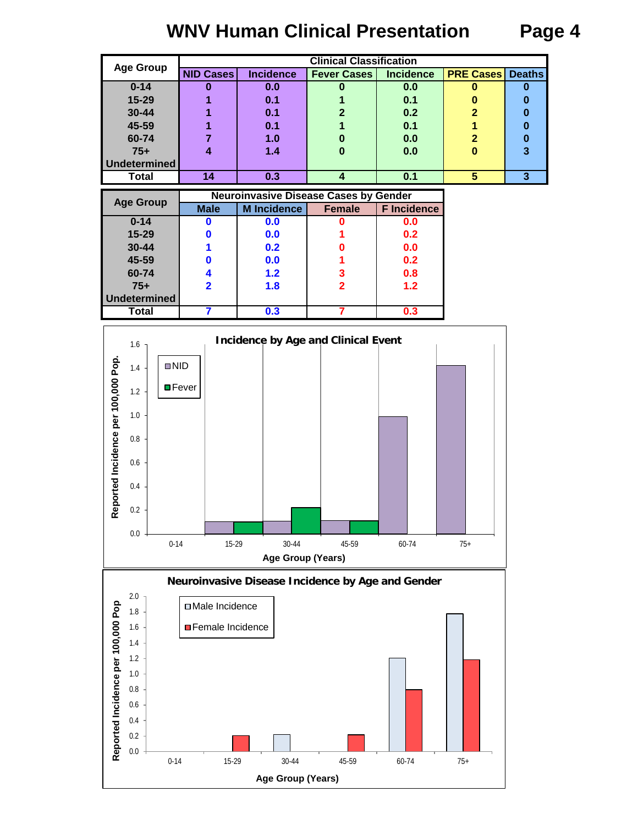# **WNV Human Clinical Presentation Page 4**

| <b>Age Group</b> |                  |                  | <b>Clinical Classification</b> |                  |                  |               |
|------------------|------------------|------------------|--------------------------------|------------------|------------------|---------------|
|                  | <b>NID Cases</b> | <b>Incidence</b> | <b>Fever Cases</b>             | <b>Incidence</b> | <b>PRE Cases</b> | <b>Deaths</b> |
| $0 - 14$         |                  | 0.0              |                                | 0.0              | υ                |               |
| 15-29            |                  | 0.1              |                                | 0.1              |                  |               |
| $30 - 44$        |                  | 0.1              |                                | 0.2              |                  |               |
| 45-59            |                  | 0.1              |                                | 0.1              |                  |               |
| 60-74            |                  | 1.0              |                                | 0.0              |                  |               |
| $75+$            |                  | 1.4              |                                | 0.0              |                  | 3             |
| Undetermined     |                  |                  |                                |                  |                  |               |
| Total            | 14               | 0.3              |                                | 0.1              | 5                | 3             |

| <b>Age Group</b> |             | <b>Neuroinvasive Disease Cases by Gender</b> |               |                    |
|------------------|-------------|----------------------------------------------|---------------|--------------------|
|                  | <b>Male</b> | <b>M</b> Incidence                           | <b>Female</b> | <b>F</b> Incidence |
| $0 - 14$         |             | 0.0                                          |               | 0.0                |
| $15 - 29$        |             | 0.0                                          |               | 0.2                |
| $30 - 44$        |             | 0.2                                          |               | 0.0                |
| 45-59            |             | 0.0                                          |               | 0.2                |
| 60-74            |             | 1.2                                          | 3             | 0.8                |
| $75+$            |             | 1.8                                          | 2             | 1.2                |
| Undetermined     |             |                                              |               |                    |
| Total            |             | 0.3                                          |               | 0.3                |



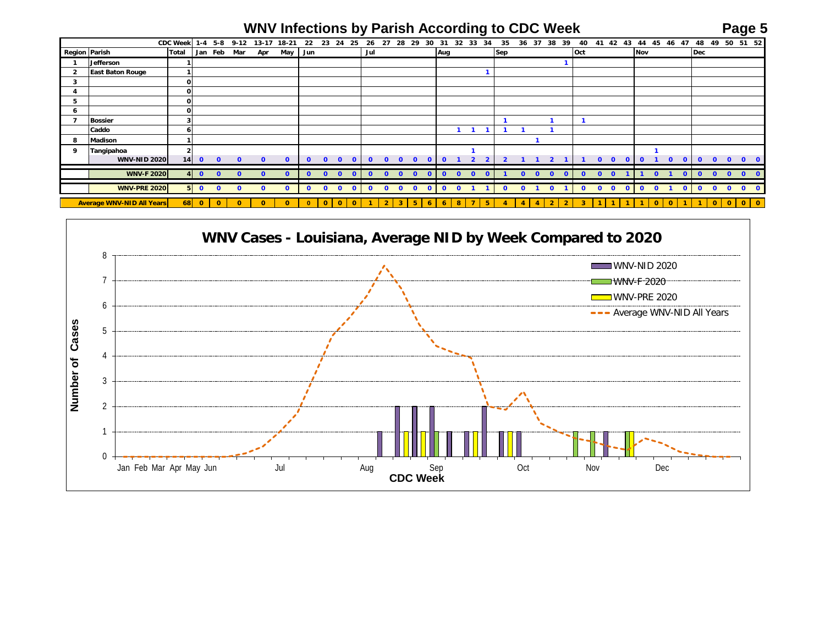## **WNV Infections by Parish According to CDC Week Page 5**

|                      |                                  |                 |                 | $1-4$ 5-8      | $9 - 12$     |           |              | 22           | 23             | 24           | 25           | 26           | 27             | 28           | 29             | 30           |              | 32<br>33                 | 34       |              |              | 37       | 38             | 39             |              | 41           | 42           | 43           | 44             | 45           | 47                      | 48           | 49           | 50           |           |              |
|----------------------|----------------------------------|-----------------|-----------------|----------------|--------------|-----------|--------------|--------------|----------------|--------------|--------------|--------------|----------------|--------------|----------------|--------------|--------------|--------------------------|----------|--------------|--------------|----------|----------------|----------------|--------------|--------------|--------------|--------------|----------------|--------------|-------------------------|--------------|--------------|--------------|-----------|--------------|
|                      |                                  | <b>CDC Week</b> |                 |                |              | $13 - 17$ | 18-21        |              |                |              |              |              |                |              |                |              | 31           |                          |          | 35           | 36           |          |                |                | 40           |              |              |              |                |              | 46                      |              |              |              | 51 52     |              |
| <b>Region Parish</b> |                                  | Total           |                 | Jan Feb        | Mar          | Apr       | May          | Jun          |                |              |              | Jul          |                |              |                |              | Aug          |                          |          | <b>Sep</b>   |              |          |                |                | Oct          |              |              |              | Nov            |              |                         | Dec          |              |              |           |              |
|                      | Jefferson                        |                 |                 |                |              |           |              |              |                |              |              |              |                |              |                |              |              |                          |          |              |              |          |                |                |              |              |              |              |                |              |                         |              |              |              |           |              |
|                      | <b>East Baton Rouge</b>          |                 |                 |                |              |           |              |              |                |              |              |              |                |              |                |              |              |                          |          |              |              |          |                |                |              |              |              |              |                |              |                         |              |              |              |           |              |
| 3                    |                                  | $\mathbf{o}$    |                 |                |              |           |              |              |                |              |              |              |                |              |                |              |              |                          |          |              |              |          |                |                |              |              |              |              |                |              |                         |              |              |              |           |              |
|                      |                                  | $\mathbf{o}$    |                 |                |              |           |              |              |                |              |              |              |                |              |                |              |              |                          |          |              |              |          |                |                |              |              |              |              |                |              |                         |              |              |              |           |              |
| 5                    |                                  | $\mathbf{o}$    |                 |                |              |           |              |              |                |              |              |              |                |              |                |              |              |                          |          |              |              |          |                |                |              |              |              |              |                |              |                         |              |              |              |           |              |
| <b>b</b>             |                                  | οI              |                 |                |              |           |              |              |                |              |              |              |                |              |                |              |              |                          |          |              |              |          |                |                |              |              |              |              |                |              |                         |              |              |              |           |              |
| 7                    | <b>Bossier</b>                   | 3               |                 |                |              |           |              |              |                |              |              |              |                |              |                |              |              |                          |          |              |              |          |                |                |              |              |              |              |                |              |                         |              |              |              |           |              |
|                      | Caddo                            | 61              |                 |                |              |           |              |              |                |              |              |              |                |              |                |              |              |                          |          |              |              |          |                |                |              |              |              |              |                |              |                         |              |              |              |           |              |
| 8                    | <b>Madison</b>                   |                 |                 |                |              |           |              |              |                |              |              |              |                |              |                |              |              |                          |          |              |              |          |                |                |              |              |              |              |                |              |                         |              |              |              |           |              |
| 9                    | Tangipahoa                       | $\mathbf{z}$    |                 |                |              |           |              |              |                |              |              |              |                |              |                |              |              |                          |          |              |              |          |                |                |              |              |              |              |                |              |                         |              |              |              |           |              |
|                      | <b>WNV-NID 2020</b>              | 14              | $\bullet$       | $\mathbf{0}$   | $\mathbf{o}$ | $\Omega$  | $\mathbf{0}$ | $\mathbf{0}$ | $\Omega$       | $\Omega$     | $\mathbf{0}$ | $\Omega$     | $\Omega$       | $\Omega$     | $\Omega$       | <sup>o</sup> | $\mathbf 0$  |                          |          |              |              |          |                |                |              | $\Omega$     | $\Omega$     | $\Omega$     | $\mathbf 0$    |              | $\Omega$<br>$\mathbf 0$ | $\Omega$     | $\Omega$     | $\Omega$     | $\Omega$  | $\Omega$     |
|                      | <b>WNV-F 2020</b>                | 4 <sup>1</sup>  | $\bullet$       | $\overline{0}$ | $\Omega$     |           | $\Omega$     | $\Omega$     | $\Omega$       | $\Omega$     | $\Omega$     |              | $\Omega$       | $\mathbf{0}$ | $\Omega$       | $\Omega$     | $\mathbf{o}$ | $\mathbf{0}$<br>$\Omega$ | $\Omega$ |              | $\Omega$     | $\Omega$ | $\Omega$       |                | $\Omega$     | $\bullet$    | $\Omega$     |              |                | $\Omega$     |                         | $\Omega$     | $\Omega$     | $\Omega$     | $\Omega$  | $\Omega$     |
|                      | <b>WNV-PRE 2020</b>              |                 | $5\overline{0}$ | $\mathbf{0}$   | $\Omega$     |           | $\Omega$     | $\mathbf{0}$ | $\mathbf{o}$   | $\mathbf{o}$ | $\bullet$    | $\mathbf{0}$ | $\mathbf{o}$   | $\mathbf{o}$ | $\mathbf{o}$   | $\mathbf{0}$ | $\mathbf{0}$ | $\mathbf{0}$             |          | $\mathbf{0}$ | $\mathbf{0}$ |          | $\mathbf{o}$   |                | $\mathbf{0}$ | $\mathbf{o}$ | $\mathbf{o}$ | $\mathbf{0}$ | $\mathbf{o}$   | $\bullet$    | $\mathbf{0}$            | $\bullet$    | $\Omega$     | $\mathbf{0}$ | $\bullet$ | $\mathbf{0}$ |
|                      | <b>Average WNV-NID All Years</b> | 68              | $\mathbf{0}$    | $\mathbf{0}$   | $\mathbf{0}$ |           |              | $\mathbf{0}$ | $\overline{0}$ | $\mathbf{0}$ | $\mathbf 0$  |              | $\overline{2}$ | $\mathbf{3}$ | 5 <sup>1</sup> | 6            | 6            | 8<br>$\overline{ }$      | 5        |              |              |          | $\overline{2}$ | $\overline{2}$ |              |              |              |              | $\blacksquare$ | $\mathbf{0}$ | $\mathbf{o}$            | $\mathbf{1}$ | $\mathbf{O}$ | $\mathbf{0}$ |           | $0$ 0        |

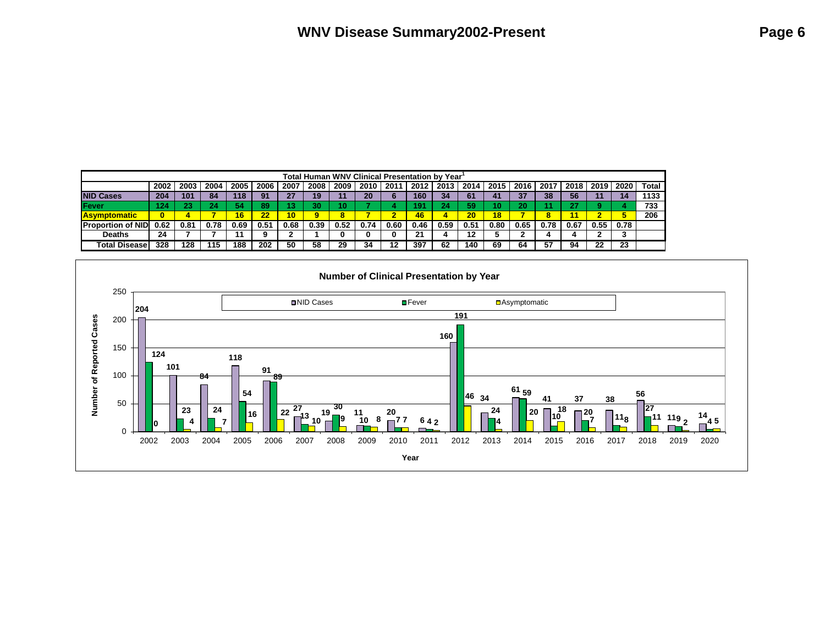|                           |                                                                                 |      |      |      |      |                 | <b>Total Human WNV Clinical Presentation by Year</b> |      |      |        |      |      |      |      |      |      |      |      |      |              |
|---------------------------|---------------------------------------------------------------------------------|------|------|------|------|-----------------|------------------------------------------------------|------|------|--------|------|------|------|------|------|------|------|------|------|--------------|
|                           | 2002                                                                            | 2003 | 2004 | 2005 | 2006 | 2007            | 2008                                                 | 2009 | 2010 | 2011   | 2012 | 2013 | 2014 | 2015 | 2016 | 2017 | 2018 | 2019 | 2020 | <b>Total</b> |
| <b>INID Cases</b>         | 204                                                                             | 101  | 84   | 118  | 91   | 27              | 19                                                   |      | 20   |        | 160  | -34  | 61   | 41   | 37   | 38   | 56   |      |      | 1133         |
| <b>IFever</b>             | 733<br>54<br>89<br>30<br>124<br>כי ה<br>59<br>20<br>491<br>Ю<br>24<br>24<br>437 |      |      |      |      |                 |                                                      |      |      |        |      |      |      |      |      |      |      |      |      |              |
| <u> Asymptomatic</u>      | 0                                                                               |      |      | 16   | 22   | 10 <sub>1</sub> | 9                                                    |      |      | ≏<br>æ | 46   |      | 20   | 18   |      |      |      |      |      | 206          |
| <b>IProportion of NID</b> | 0.62                                                                            | 0.81 | 0.78 | 0.69 | 0.51 | 0.68            | 0.39                                                 | 0.52 | 0.74 | 0.60   | 0.46 | 0.59 | 0.51 | 0.80 | 0.65 | 0.78 | 0.67 | 0.55 | 0.78 |              |
| Deaths                    | 24                                                                              |      |      |      |      |                 |                                                      |      |      |        | 21   |      | 12   |      |      |      |      |      |      |              |
| <b>Total Disease</b>      | 328                                                                             | 128  | 115  | 188  | 202  | 50              | 58                                                   | 29   | 34   | 12     | 397  | 62   | 140  | 69   | 64   | 57   | 94   | 22   | 23   |              |

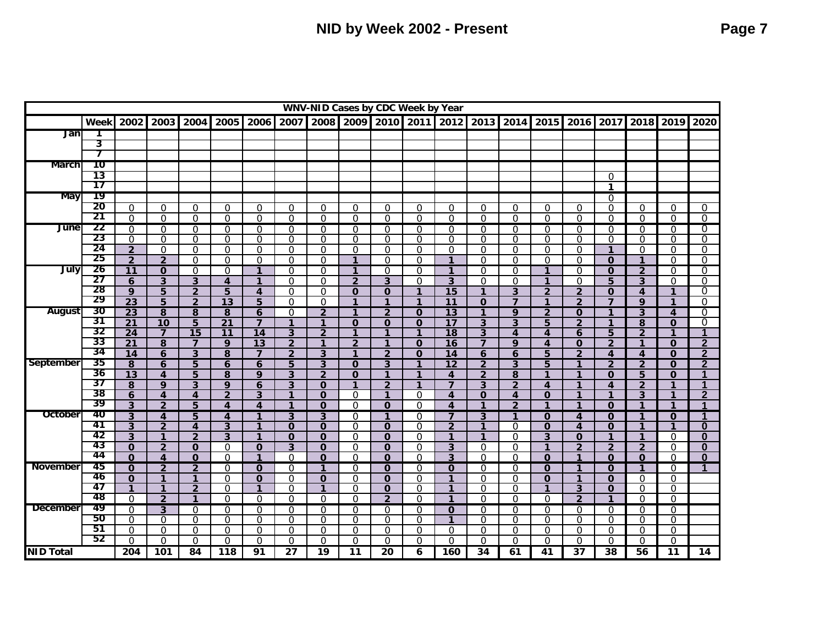|                  |           |                      |                         |                         |                       |                                |                         |                         | WNV-NID Cases by CDC Week by Year |                  |                          |                              |                          |                          |                                |                            |                         |                      |                          |                      |
|------------------|-----------|----------------------|-------------------------|-------------------------|-----------------------|--------------------------------|-------------------------|-------------------------|-----------------------------------|------------------|--------------------------|------------------------------|--------------------------|--------------------------|--------------------------------|----------------------------|-------------------------|----------------------|--------------------------|----------------------|
|                  | Week      | 2002                 | 2003                    | 2004                    | 2005                  | 2006                           | 2007                    | 2008                    | 2009                              |                  | 2010 2011                | 2012                         | 2013                     | 2014                     |                                | 2015 2016                  | 2017                    | 2018                 | 2019                     | 2020                 |
| Jan              |           |                      |                         |                         |                       |                                |                         |                         |                                   |                  |                          |                              |                          |                          |                                |                            |                         |                      |                          |                      |
|                  | 3         |                      |                         |                         |                       |                                |                         |                         |                                   |                  |                          |                              |                          |                          |                                |                            |                         |                      |                          |                      |
|                  | 7         |                      |                         |                         |                       |                                |                         |                         |                                   |                  |                          |                              |                          |                          |                                |                            |                         |                      |                          |                      |
| March            | 10        |                      |                         |                         |                       |                                |                         |                         |                                   |                  |                          |                              |                          |                          |                                |                            |                         |                      |                          |                      |
|                  | 13        |                      |                         |                         |                       |                                |                         |                         |                                   |                  |                          |                              |                          |                          |                                |                            | $\Omega$                |                      |                          |                      |
|                  | 17        |                      |                         |                         |                       |                                |                         |                         |                                   |                  |                          |                              |                          |                          |                                |                            | $\mathbf 1$             |                      |                          |                      |
| May              | 19        |                      |                         |                         |                       |                                |                         |                         |                                   |                  |                          |                              |                          |                          |                                |                            | $\Omega$                |                      |                          |                      |
|                  | 20        | $\Omega$             | $\Omega$                | $\mathbf 0$             | $\mathbf 0$           | $\mathbf 0$                    | $\mathbf 0$             | $\mathbf 0$             | $\mathbf 0$                       | $\Omega$         | $\mathbf 0$              | $\Omega$                     | $\mathbf 0$              | $\mathbf 0$              | $\mathbf 0$                    | $\mathbf 0$                | $\Omega$                | $\Omega$             | $\mathbf 0$              | 0                    |
|                  | 21        | $\Omega$             | $\Omega$                | $\Omega$                | $\Omega$              | $\Omega$                       | $\Omega$                | $\Omega$                | $\Omega$                          | $\Omega$         | $\Omega$                 | $\Omega$                     | $\Omega$                 | $\Omega$                 | $\Omega$                       | $\Omega$                   | $\Omega$                | $\Omega$             | $\Omega$                 | $\Omega$             |
| June             | 22<br>23  | $\Omega$             | 0                       | $\Omega$                | $\Omega$              | $\Omega$                       | $\mathbf 0$             | $\Omega$                | $\Omega$                          | $\Omega$         | $\Omega$                 | $\Omega$                     | $\Omega$                 | $\Omega$                 | $\mathbf 0$                    | $\Omega$                   | $\Omega$                | $\Omega$             | $\Omega$                 | 0                    |
|                  | 24        | $\Omega$             | $\Omega$                | $\Omega$                | $\Omega$              | $\Omega$                       | $\mathbf 0$             | $\mathbf 0$             | $\Omega$                          | $\Omega$         | $\mathbf 0$              | $\Omega$                     | $\Omega$                 | $\Omega$                 | $\mathbf 0$                    | $\Omega$                   | $\Omega$                | $\Omega$             | $\Omega$                 | 0                    |
|                  | 25        | $\overline{2}$       | $\Omega$                | $\Omega$                | $\Omega$              | $\Omega$                       | $\Omega$                | $\Omega$                | $\mathbf{0}$                      | $\Omega$         | $\Omega$                 | $\Omega$                     | $\Omega$                 | $\Omega$                 | 0                              | $\Omega$                   | $\mathbf{1}$            | $\Omega$             | $\Omega$                 | 0                    |
| July             | 26        | $\overline{2}$       | $\overline{2}$          | $\mathbf 0$             | $\mathbf 0$           | $\mathbf 0$                    | $\mathbf 0$             | $\mathbf 0$             | $\mathbf{1}$                      | $\mathbf 0$      | $\mathbf 0$              | $\mathbf{1}$<br>$\mathbf{1}$ | $\Omega$                 | $\mathbf 0$              | $\mathbf 0$<br>$\mathbf{1}$    | $\overline{0}$             | $\mathbf 0$             | $\mathbf{1}$         | $\mathbf 0$              | $\Omega$             |
|                  | 27        | 11                   | $\Omega$                | $\Omega$                | $\Omega$              | 1                              | $\Omega$                | $\Omega$                | 1                                 | $\Omega$         | $\Omega$                 |                              | $\Omega$                 | $\Omega$                 |                                | $\Omega$                   | $\Omega$                | $\overline{2}$       | $\Omega$                 | $\Omega$<br>0        |
|                  | 28        | 6<br>9               | $\overline{3}$<br>5     | 3<br>$\overline{2}$     | $\boldsymbol{4}$<br>5 | $\mathbf{1}$<br>$\overline{4}$ | $\Omega$<br>$\mathbf 0$ | $\Omega$<br>$\mathbf 0$ | $\overline{2}$<br>$\mathbf 0$     | 3<br>$\mathbf 0$ | $\Omega$<br>$\mathbf{1}$ | 3<br>15                      | $\Omega$<br>$\mathbf{1}$ | $\Omega$<br>$\mathbf{3}$ | $\mathbf{1}$                   | $\Omega$<br>$\overline{2}$ | 5<br>$\mathbf 0$        | 3<br>$\overline{4}$  | $\Omega$<br>$\mathbf{1}$ | 0                    |
|                  | 29        | $\overline{23}$      | 5                       | $\overline{2}$          | 13                    | 5                              | $\Omega$                | $\Omega$                | 1                                 | $\mathbf{1}$     | $\mathbf{1}$             | 11                           | $\Omega$                 | $\overline{7}$           | $\overline{2}$<br>$\mathbf{1}$ | $\overline{2}$             | $\overline{\mathbf{z}}$ | $\mathbf{Q}$         | $\mathbf{1}$             | $\Omega$             |
| <b>August</b>    | 30        | $\overline{23}$      | 8                       | 8                       | 8                     | 6                              | $\mathbf 0$             | $\overline{2}$          | $\mathbf{1}$                      | $\overline{2}$   | $\mathbf{O}$             | $\overline{13}$              | 1                        | 9                        | $\overline{2}$                 | $\mathbf 0$                | 1                       | 3                    | $\overline{4}$           | 0                    |
|                  | 31        | 21                   | 10                      | 5                       | 21                    | $\overline{7}$                 | $\mathbf{1}$            | $\mathbf{1}$            | $\mathbf 0$                       | $\mathbf 0$      | $\mathbf 0$              | 17                           | 3                        | 3                        | 5                              | $\overline{2}$             | 1                       | 8                    | $\mathbf 0$              | 0                    |
|                  | 32        | 24                   | $\overline{\mathbf{z}}$ | $\overline{15}$         | 11                    | 14                             | 3                       | $\overline{2}$          | 1                                 | $\mathbf{1}$     | $\mathbf{1}$             | $\overline{18}$              | 3                        | $\overline{\mathbf{A}}$  | $\overline{\mathbf{A}}$        | 6                          | 5                       | $\overline{2}$       | $\mathbf{1}$             | 1                    |
|                  | 33        | 21                   | 8                       | $\overline{7}$          | 9                     | 13                             | $\overline{2}$          | $\mathbf{1}$            | $\overline{2}$                    | $\mathbf{1}$     | $\mathbf{O}$             | 16                           | $\overline{7}$           | 9                        | $\overline{\mathbf{4}}$        | $\mathbf 0$                | $\overline{2}$          | $\mathbf{1}$         | $\mathbf 0$              | $\overline{2}$       |
|                  | 34        | 14                   | 6                       | 3                       | 8                     | $\overline{7}$                 | $\overline{2}$          | 3                       | $\mathbf{1}$                      | $\overline{2}$   | $\mathbf 0$              | 14                           | 6                        | 6                        | $\overline{5}$                 | $\overline{2}$             | 4                       | 4                    | $\mathbf 0$              | $\mathbf{2}$         |
| September        | 35        | $\overline{8}$       | 6                       | 5                       | 6                     | 6                              | 5                       | $\overline{3}$          | $\Omega$                          | $\overline{3}$   | $\mathbf{1}$             | $\overline{12}$              | $\overline{2}$           | $\overline{3}$           | 5                              | 1                          | $\overline{2}$          | $\overline{2}$       | $\Omega$                 | $\overline{2}$       |
|                  | 36        | $\overline{13}$      | $\overline{\mathbf{A}}$ | 5                       | 8                     | 9                              | $\mathbf{3}$            | $\overline{2}$          | $\mathbf 0$                       | $\mathbf{1}$     | $\mathbf{1}$             | $\overline{\mathbf{4}}$      | $\overline{2}$           | 8                        | $\mathbf{1}$                   | $\mathbf{1}$               | $\mathbf 0$             | 5                    | $\mathbf 0$              | 1                    |
|                  | 37        | 8                    | 9                       | 3                       | 9                     | 6                              | 3                       | $\mathbf 0$             | 1                                 | $\overline{2}$   | $\mathbf{1}$             | $\overline{7}$               | 3                        | $\overline{2}$           | 4                              | $\mathbf{1}$               | 4                       | $\overline{2}$       | $\mathbf{1}$             | 1                    |
|                  | 38        | 6                    | $\overline{\mathbf{4}}$ | $\overline{\mathbf{4}}$ | $\overline{2}$        | 3                              | $\mathbf{1}$            | $\mathbf{O}$            | $\Omega$                          | $\mathbf{1}$     | $\Omega$                 | $\overline{\mathbf{4}}$      | $\mathbf{O}$             | $\overline{4}$           | $\mathbf 0$                    | $\mathbf{1}$               | 1                       | 3                    | $\mathbf{1}$             | $\overline{2}$       |
|                  | 39        | $\mathbf{3}$         | $\overline{2}$          | 5                       | 4                     | $\overline{\mathbf{A}}$        | $\mathbf{1}$            | $\mathbf 0$             | $\Omega$                          | $\mathbf{O}$     | $\Omega$                 | $\overline{\mathbf{4}}$      | $\mathbf{1}$             | $\overline{2}$           | $\mathbf{1}$                   | $\mathbf{1}$               | $\mathbf 0$             | $\mathbf{1}$         | $\overline{1}$           | $\blacktriangleleft$ |
| October          | 40        | $\overline{3}$       | 4                       | 5                       | $\boldsymbol{A}$      | 1                              | $\overline{3}$          | 3                       | $\Omega$                          | $\mathbf{1}$     | $\Omega$                 | $\overline{7}$               | 3                        | $\mathbf{1}$             | $\mathbf{0}$                   | $\overline{\mathbf{A}}$    | $\Omega$                | 1                    | $\mathbf 0$              |                      |
|                  | 41        | $\overline{3}$       | $\overline{2}$          | $\overline{\mathbf{4}}$ | 3                     | $\mathbf{1}$                   | $\mathbf 0$             | $\mathbf{O}$            | $\Omega$                          | $\mathbf{O}$     | $\Omega$                 | $\overline{2}$               | $\mathbf{1}$             | $\Omega$                 | $\mathbf 0$                    | $\boldsymbol{A}$           | $\mathbf 0$             | $\mathbf{1}$         | $\mathbf{1}$             | $\bf{0}$             |
|                  | 42        | $\mathbf{3}$         | $\mathbf{1}$            | $\overline{2}$          | $\overline{3}$        | $\mathbf{1}$                   | $\mathbf 0$             | $\mathbf{O}$            | $\Omega$                          | $\mathbf 0$      | $\mathbf 0$              | $\mathbf{1}$                 | $\mathbf{1}$             | $\Omega$                 | $\mathbf{3}$                   | $\mathbf 0$                | $\mathbf{1}$            | $\mathbf{1}$         | $\Omega$                 | $\bf{0}$             |
|                  | -43<br>44 | $\mathbf 0$          | $\overline{2}$          | $\mathbf 0$             | $\Omega$              | $\mathbf 0$                    | 3                       | $\mathbf{O}$            | $\Omega$                          | $\mathbf{0}$     | $\Omega$                 | 3                            | $\Omega$                 | $\Omega$                 | $\mathbf{1}$                   | $\overline{2}$             | $\overline{2}$          | $\overline{2}$       | $\Omega$                 | $\bf{0}$             |
|                  |           | $\Omega$             | 4                       | $\mathbf 0$             | $\Omega$              | $\mathbf{1}$                   | $\mathbf 0$             | $\mathbf 0$             | $\Omega$                          | $\mathbf{O}$     | $\mathbf 0$              | $\overline{\mathbf{3}}$      | $\Omega$                 | $\mathbf 0$              | $\mathbf 0$                    | $\mathbf{1}$               | $\mathbf 0$             | $\mathbf 0$          | $\mathbf 0$              | $\bf{0}$             |
| <b>November</b>  | 45        | $\overline{0}$       | $\overline{2}$          | $\overline{2}$          | $\Omega$              | $\mathbf 0$                    | $\mathbf 0$             | $\overline{1}$          | $\Omega$                          | $\mathbf 0$      | $\Omega$                 | $\mathbf{0}$                 | $\Omega$                 | $\Omega$                 | $\overline{0}$                 | $\overline{1}$             | $\Omega$                | $\overline{1}$       | $\Omega$                 | 1                    |
|                  | 46<br>47  | $\mathbf 0$          | $\mathbf{1}$            | 1                       | $\Omega$              | $\mathbf 0$                    | $\mathbf 0$             | $\mathbf{O}$            | $\Omega$                          | $\mathbf 0$      | $\Omega$                 | $\mathbf{1}$                 | $\Omega$                 | $\Omega$                 | $\mathbf{O}$                   | 1                          | $\Omega$                | $\Omega$             | $\mathbf{0}$             |                      |
|                  | -48       | $\mathbf{1}$         | $\mathbf{1}$            | $\overline{2}$<br>1     | $\Omega$              | $\mathbf{1}$                   | $\mathbf 0$             | $\mathbf{1}$            | $\mathbf{0}$                      | $\mathbf 0$      | $\mathbf 0$              | $\mathbf{1}$                 | $\Omega$                 | $\Omega$                 | $\mathbf{1}$                   | 3                          | $\mathbf 0$<br>1        | $\Omega$             | $\mathbf 0$              |                      |
| <b>December</b>  | 49        | $\Omega$             | $\overline{2}$          |                         | $\Omega$              | $\Omega$                       | $\Omega$                | $\Omega$                | $\Omega$                          | $\overline{2}$   | $\Omega$                 | $\mathbf{1}$                 | $\Omega$                 | $\Omega$                 | 0                              | $\overline{2}$             |                         | $\Omega$             | $\Omega$                 |                      |
|                  | 50        | $\Omega$             | 3                       | $\Omega$<br>$\Omega$    | $\Omega$              | $\Omega$                       | $\mathbf 0$             | $\Omega$                | $\Omega$                          | $\Omega$         | $\Omega$                 | $\mathbf 0$<br>$\mathbf{1}$  | $\Omega$                 | $\Omega$<br>$\Omega$     | $\overline{0}$                 | $\Omega$                   | $\Omega$                | $\Omega$             | $\Omega$                 |                      |
|                  | 51        | $\Omega$<br>$\Omega$ | $\Omega$<br>$\Omega$    | $\Omega$                | $\Omega$<br>$\Omega$  | $\Omega$<br>$\Omega$           | $\mathbf 0$<br>$\Omega$ | $\mathbf 0$<br>$\Omega$ | $\Omega$<br>$\Omega$              | 0<br>$\Omega$    | $\mathbf 0$<br>$\Omega$  | $\Omega$                     | $\Omega$<br>$\Omega$     | $\Omega$                 | $\mathbf 0$<br>$\Omega$        | $\Omega$<br>$\Omega$       | $\mathbf 0$<br>$\Omega$ | $\Omega$<br>$\Omega$ | $\Omega$<br>$\Omega$     |                      |
|                  | 52        | $\Omega$             | $\mathbf 0$             | $\mathbf 0$             | $\Omega$              | $\mathbf 0$                    | $\mathbf 0$             | $\overline{0}$          | $\Omega$                          | $\Omega$         | $\mathbf 0$              | $\Omega$                     | $\Omega$                 | $\mathbf 0$              | $\mathbf 0$                    | $\Omega$                   | $\Omega$                | $\mathbf 0$          | $\mathbf 0$              |                      |
| <b>NID Total</b> |           | 204                  | 101                     | 84                      | 118                   | 91                             | $\overline{27}$         | $\overline{19}$         | 11                                | 20               | 6                        | 160                          | 34                       | 61                       | 41                             | $\overline{37}$            | 38                      | 56                   | $\overline{11}$          | 14                   |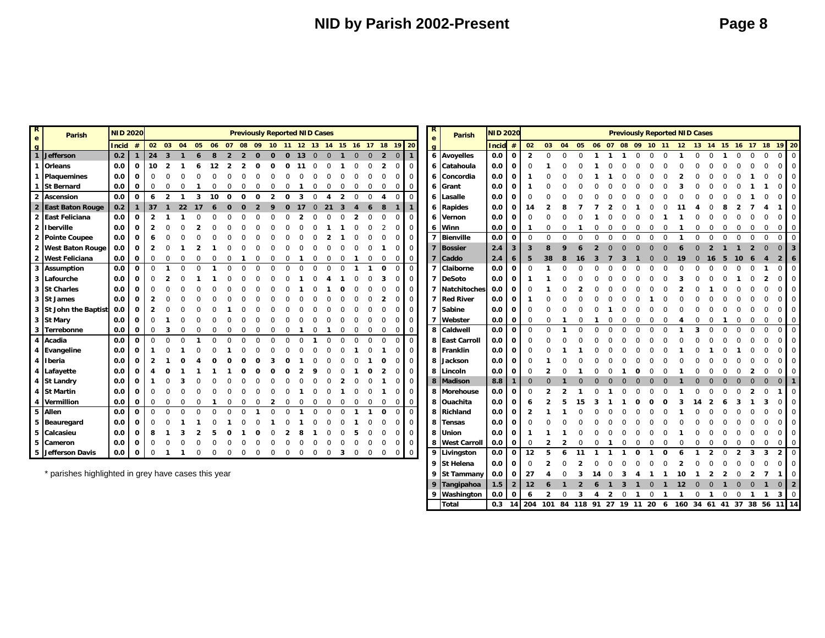| $\overline{\mathbf{R}}$<br>e | Parish                    | <b>NID 2020</b>                                     |              |                |                         |          |   |                                                                |                |  |  | <b>Previously Reported NID Cases</b> |              |    |                |                |              |              |                |                |                |                | R<br>$\mathbf{e}$ | <b>Parish</b>       | <b>NID 2020</b> |                         |                |          |    |    |  |  |  | <b>Previously Reported NID Cases</b> |          |  |          |                                              |  |
|------------------------------|---------------------------|-----------------------------------------------------|--------------|----------------|-------------------------|----------|---|----------------------------------------------------------------|----------------|--|--|--------------------------------------|--------------|----|----------------|----------------|--------------|--------------|----------------|----------------|----------------|----------------|-------------------|---------------------|-----------------|-------------------------|----------------|----------|----|----|--|--|--|--------------------------------------|----------|--|----------|----------------------------------------------|--|
|                              |                           | <b>Incid</b>                                        | #            |                | 02 03                   | 04       |   | 05  06  07  08  09  10  11  12  13  14  15  16  17  18  19  20 |                |  |  |                                      |              |    |                |                |              |              |                |                |                |                | $\alpha$          |                     | <b>Incid</b>    | $\#$                    | 02             | 03       | 04 | 05 |  |  |  |                                      |          |  |          | 06 07 08 09 10 11 12 13 14 15 16 17 18 19 20 |  |
|                              | q<br>1 Jefferson          | 0.2                                                 | $\mathbf{1}$ | 24             | $\overline{\mathbf{3}}$ |          |   | 8                                                              | $\overline{2}$ |  |  | $\mathbf{o}$                         | $\mathbf{0}$ | 13 | $\overline{0}$ | $\overline{0}$ |              | $\mathbf{0}$ | $\overline{0}$ | $\overline{2}$ |                |                |                   | $6$ Avoyelles       | 0.0             | $\mathbf 0$             | $\overline{2}$ | $\Omega$ |    |    |  |  |  |                                      | $\Omega$ |  | $\Omega$ | $\Omega$                                     |  |
|                              | 1 Orleans                 | 0.0                                                 | $\mathbf{o}$ | 10             | $\overline{\mathbf{2}}$ |          |   |                                                                |                |  |  |                                      |              |    |                |                |              |              |                |                | $\Omega$       | $\overline{0}$ | 6                 | Catahoula           | 0.0             | $\mathbf 0$             |                |          |    |    |  |  |  |                                      |          |  |          |                                              |  |
|                              | 1 Plaquemines             | 0.0                                                 | 0            | $\Omega$       |                         |          |   |                                                                |                |  |  |                                      |              |    |                |                |              |              |                |                | $\Omega$       | $\mathbf{0}$   | 6                 | Concordia           | 0.0             | $\mathbf{o}$            |                |          |    |    |  |  |  |                                      |          |  |          |                                              |  |
|                              | 1 St Bernard              | 0.0                                                 | 0            | $\Omega$       |                         |          |   |                                                                |                |  |  |                                      |              |    |                |                |              |              |                |                |                | 0              | 6                 | Grant               | 0.0             | 0                       |                |          |    |    |  |  |  |                                      |          |  |          |                                              |  |
|                              | 2 Ascension               | 0.0                                                 | $\mathbf{o}$ | 6              | $\overline{2}$          |          | 3 | 10                                                             | n              |  |  |                                      |              | ર  |                |                | 2            |              | $\Omega$       |                |                | $\Omega$       | 6                 | Lasalle             | 0.0             | 0                       |                |          |    |    |  |  |  |                                      |          |  |          |                                              |  |
|                              | 2 East Baton Rouge        | 0.2                                                 | $\mathbf{1}$ | 37             |                         | 22       |   |                                                                |                |  |  |                                      |              |    |                |                |              |              |                |                |                |                | 6                 | <b>Rapides</b>      | 0.0             | 0                       |                |          |    |    |  |  |  |                                      |          |  |          |                                              |  |
|                              | 2 East Feliciana          | 0.0                                                 | $\mathbf 0$  | $\overline{2}$ |                         |          |   |                                                                |                |  |  |                                      |              |    |                |                |              |              |                |                |                | $\Omega$       | 6                 | Vernon              | 0.0             | 0                       |                |          |    |    |  |  |  |                                      |          |  |          |                                              |  |
|                              | 2 Iberville               | 0.0                                                 | 0            | 2              |                         |          |   |                                                                |                |  |  |                                      |              |    |                |                |              |              |                |                |                | $\overline{0}$ |                   | 6 Winn              | 0.0             | 0                       |                |          |    |    |  |  |  |                                      |          |  |          |                                              |  |
|                              | 2 Pointe Coupee           | 0.0                                                 | 0            | 6              |                         |          |   |                                                                |                |  |  |                                      |              |    |                |                |              |              |                |                |                | 0              |                   | 7 Bienville         | 0.0             | $\mathbf 0$             | $\mathbf 0$    | $\Omega$ |    |    |  |  |  |                                      |          |  |          | $\Omega$                                     |  |
|                              | 2 West Baton Rouge        | 0.0                                                 | $\mathbf{o}$ | 2              |                         |          |   |                                                                |                |  |  |                                      |              |    |                |                |              |              |                |                |                | $\mathbf 0$    |                   | <b>Bossier</b>      | 2.4             | $\overline{\mathbf{3}}$ | 3              |          |    |    |  |  |  |                                      |          |  |          |                                              |  |
|                              | 2 West Feliciana          | 0.0                                                 | $\mathbf{o}$ | 0              |                         |          |   |                                                                |                |  |  |                                      |              |    |                |                |              |              |                |                | $\Omega$       | 0              |                   | Caddo               | 2.4             | -6                      |                |          |    |    |  |  |  |                                      |          |  |          |                                              |  |
|                              | 3 Assumption              | 0.0                                                 | $\mathbf 0$  | 0              | $\mathbf{1}$            | $\Omega$ |   |                                                                |                |  |  |                                      |              |    |                | $\Omega$       | $\Omega$     |              |                | <sup>0</sup>   |                | $\mathbf 0$    |                   | Claiborne           | 0.0             | 0                       |                |          |    |    |  |  |  |                                      |          |  |          |                                              |  |
|                              | 3 Lafourche               | 0.0                                                 | $\mathbf{o}$ |                |                         |          |   |                                                                |                |  |  |                                      |              |    |                |                |              |              |                |                |                | $\overline{0}$ |                   | <b>DeSoto</b>       | 0.0             | $\mathbf 0$             |                |          |    |    |  |  |  |                                      |          |  |          |                                              |  |
|                              | 3 St Charles              | 0.0                                                 | $\mathbf 0$  |                |                         |          |   |                                                                |                |  |  |                                      |              |    |                |                |              |              |                |                |                | $\Omega$       |                   | <b>Natchitoches</b> | 0.0             | $\mathbf 0$             |                |          |    |    |  |  |  |                                      |          |  |          |                                              |  |
|                              | 3 St James                | 0.0                                                 | $\mathbf{o}$ |                |                         |          |   |                                                                |                |  |  |                                      |              |    |                |                |              |              |                |                |                | 0              |                   | <b>Red River</b>    | 0.0             | $\mathbf 0$             |                |          |    |    |  |  |  |                                      |          |  |          |                                              |  |
|                              | 3 St John the Baptist 0.0 |                                                     | $\mathbf{o}$ |                |                         |          |   |                                                                |                |  |  |                                      |              |    |                |                |              |              |                |                |                | $\mathbf 0$    |                   | Sabine              | 0.0             | 0                       | $\Omega$       |          |    |    |  |  |  |                                      |          |  |          |                                              |  |
|                              | 3 St Mary                 | 0.0                                                 | 0            |                |                         |          |   |                                                                |                |  |  |                                      |              |    |                |                |              |              |                |                |                | $\mathbf 0$    |                   | Webster             | 0.0             | $\mathbf{o}$            | $\mathbf 0$    |          |    |    |  |  |  |                                      |          |  |          | $\Omega$                                     |  |
|                              | 3 Terrebonne              | 0.0                                                 | 0            | 0              | 3                       |          |   |                                                                |                |  |  |                                      |              |    |                |                |              |              |                |                |                | 0              | 8                 | Caldwell            | 0.0             | $\mathbf{o}$            | $\Omega$       |          |    |    |  |  |  |                                      |          |  |          | $\Omega$                                     |  |
|                              | 4 Acadia                  | 0.0                                                 | $\mathbf 0$  | $\Omega$       | $\Omega$                |          |   |                                                                |                |  |  |                                      |              |    |                |                |              |              |                |                |                | $\Omega$       | 8                 | <b>East Carroll</b> | 0.0             | 0                       |                |          |    |    |  |  |  |                                      |          |  |          |                                              |  |
|                              | 4 Evangeline              | 0.0                                                 | 0            |                |                         |          |   |                                                                |                |  |  |                                      |              |    |                |                |              |              |                |                |                |                |                   | 8 Franklin          | 0.0             | 0                       |                |          |    |    |  |  |  |                                      |          |  |          |                                              |  |
|                              | 4 Iberia                  | 0.0                                                 | 0            |                |                         |          |   |                                                                |                |  |  |                                      |              |    |                |                |              |              |                |                |                | $\overline{0}$ | 8                 | Jackson             | 0.0             | $\mathbf 0$             |                |          |    |    |  |  |  |                                      |          |  |          |                                              |  |
|                              | 4 Lafayette               | 0.0                                                 | 0            |                |                         |          |   |                                                                |                |  |  |                                      |              |    |                |                |              |              |                |                |                | $\overline{0}$ | 8                 | Lincoln             | 0.0             | $\mathbf 0$             |                |          |    |    |  |  |  |                                      |          |  |          |                                              |  |
|                              | 4 St Landry               | 0.0                                                 | 0            |                |                         |          |   |                                                                |                |  |  |                                      |              |    |                |                |              |              |                |                |                | $\Omega$       | 8                 | <b>Madison</b>      | 8.8             |                         |                |          |    |    |  |  |  |                                      |          |  |          |                                              |  |
|                              | 4 St Martin               | 0.0                                                 | 0            |                |                         |          |   |                                                                |                |  |  |                                      |              |    |                |                |              |              |                |                |                | $\overline{0}$ | 8                 | Morehouse           | 0.0             | 0                       | $\Omega$       |          |    |    |  |  |  |                                      |          |  |          |                                              |  |
|                              | 4 Vermillion              | 0.0                                                 | $\mathbf{o}$ | 0              |                         |          |   |                                                                |                |  |  |                                      |              |    |                |                |              |              |                |                |                | $\mathbf 0$    | 8                 | <b>Ouachita</b>     | 0.0             | 0                       |                |          |    |    |  |  |  |                                      |          |  |          |                                              |  |
|                              | 5 Allen                   | 0.0                                                 | $\mathbf{o}$ | $\Omega$       | $\Omega$                |          |   |                                                                |                |  |  |                                      |              |    |                |                |              |              |                |                |                | $\Omega$       | 8                 | Richland            | 0.0             | 0                       |                |          |    |    |  |  |  |                                      |          |  |          |                                              |  |
|                              | 5 Beauregard              | 0.0                                                 | 0            |                |                         |          |   |                                                                |                |  |  |                                      |              |    |                |                |              |              |                |                |                | $\overline{0}$ | 8                 | <b>Tensas</b>       | 0.0             | 0                       |                |          |    |    |  |  |  |                                      |          |  |          |                                              |  |
|                              | 5 Calcasieu               | 0.0                                                 | 0            | 8              |                         |          |   |                                                                |                |  |  |                                      |              |    |                |                |              |              |                |                |                | 0              | 8                 | Union               | 0.0             | 0                       |                |          |    |    |  |  |  |                                      |          |  |          |                                              |  |
|                              | 5 Cameron                 | 0.0                                                 | 0            | $\Omega$       |                         |          |   |                                                                |                |  |  |                                      |              |    |                |                |              |              |                |                | $\overline{0}$ | $\overline{0}$ | 8                 | <b>West Carroll</b> | 0.0             | 0                       | 0              |          |    |    |  |  |  |                                      |          |  |          |                                              |  |
|                              | 5 Jefferson Davis         | 0.0                                                 | $\mathbf{o}$ | $\mathbf{0}$   |                         |          |   |                                                                |                |  |  |                                      |              | 0  | 0              | 0              | 3            | 0            | 0              | $\mathbf{0}$   | $\overline{0}$ | $\overline{0}$ |                   | 9 Livingston        | 0.0             | 0                       | 12             |          |    |    |  |  |  |                                      |          |  |          | 3                                            |  |
|                              |                           |                                                     |              |                |                         |          |   |                                                                |                |  |  |                                      |              |    |                |                |              |              |                |                |                |                |                   | 9 St Helena         | 0.0             | $\mathbf{o}$            |                |          |    |    |  |  |  |                                      |          |  |          |                                              |  |
|                              |                           | * parishes highlighted in grey have cases this year |              |                |                         |          |   |                                                                |                |  |  |                                      |              |    | 9 St Tammany   | 0.0            | $\mathbf{0}$ | 27           |                |                |                |                |                   |                     |                 |                         |                |          |    |    |  |  |  |                                      |          |  |          |                                              |  |

 **Tangipahoa 1.5 2 12 6 1 2 6 1 3 1** 0 **1 12** 0 0 **1** 0 0 **1** 0 **2 Washington 0.0 0 6 2** 0 **3 4 2** 0 **1** 0 **1 1** 0 **1** 0 0 **1 1 3** 0 Total | 0.3 14| 204 101 84 118 91 27 19 11 20 6 160 34 61 41 37 38 56 11 | 14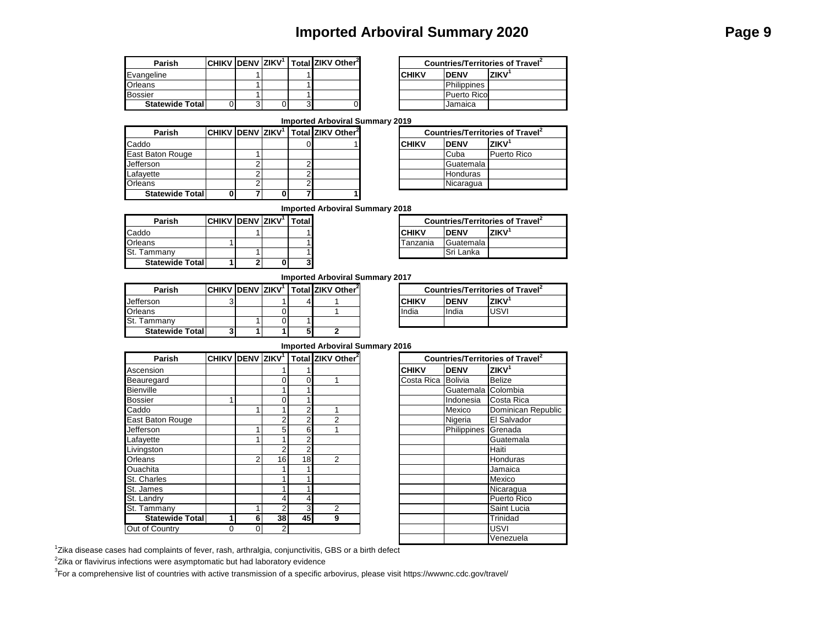## **Imported Arboviral Summary 2020 Page 9**

| Parish                  |  |  | СНІКV  DENV  ZIKV <sup>1</sup>   Total  ZIKV Other <sup>2</sup> |        |                    | Countries/Territories of Travel |
|-------------------------|--|--|-----------------------------------------------------------------|--------|--------------------|---------------------------------|
| <b>Evangeline</b>       |  |  |                                                                 | ICHIKV | <b>IDENV</b>       | <b>ZIKV</b>                     |
| <b>Orleans</b>          |  |  |                                                                 |        | <b>Philippines</b> |                                 |
| <b>Bossier</b>          |  |  |                                                                 |        | Puerto Rico        |                                 |
| <b>Statewide Totall</b> |  |  |                                                                 |        | Jamaica            |                                 |

|   |  | / ZIKV <sup>1</sup>   Total ZIKV Other <sup>2</sup> | Countries/Territories of Travel |                    |             |  |
|---|--|-----------------------------------------------------|---------------------------------|--------------------|-------------|--|
|   |  |                                                     | <b>CHIKV</b>                    | <b>IDENV</b>       | <b>ZIKV</b> |  |
|   |  |                                                     |                                 | Philippines        |             |  |
|   |  |                                                     |                                 | <b>Puerto Rico</b> |             |  |
| 3 |  |                                                     |                                 | Jamaica            |             |  |

#### **Imported Arboviral Summary 2019**

| Parish                  |  |  | CHIKV DENV ZIKV <sup>1</sup>   Total ZIKV Other <sup>2</sup> |        | <b>Countries/Territories of Trav</b> |                    |
|-------------------------|--|--|--------------------------------------------------------------|--------|--------------------------------------|--------------------|
| Caddo                   |  |  |                                                              | ICHIKV | <b>IDENV</b>                         | <b>ZIKV</b>        |
| East Baton Rouge        |  |  |                                                              |        | Cuba                                 | <b>Puerto Rico</b> |
| <b>Jefferson</b>        |  |  |                                                              |        | Guatemala                            |                    |
| Lafayette               |  |  |                                                              |        | <b>Honduras</b>                      |                    |
| Orleans                 |  |  |                                                              |        | Nicaragua                            |                    |
| <b>Statewide Totall</b> |  |  |                                                              |        |                                      |                    |

|                         | I ZIKV Other <sup>2</sup> |  | Countries/Territories of Travel <sup>2</sup> |             |             |  |  |  |  |  |  |
|-------------------------|---------------------------|--|----------------------------------------------|-------------|-------------|--|--|--|--|--|--|
| $\overline{0}$          |                           |  | <b>CHIKV</b>                                 | <b>DENV</b> | ZIKV        |  |  |  |  |  |  |
|                         |                           |  |                                              | Cuba        | Puerto Rico |  |  |  |  |  |  |
| 2                       |                           |  |                                              | Guatemala   |             |  |  |  |  |  |  |
| $\overline{\mathbf{c}}$ |                           |  |                                              | Honduras    |             |  |  |  |  |  |  |
| $\overline{2}$          |                           |  |                                              | Nicaragua   |             |  |  |  |  |  |  |
| Τ                       |                           |  |                                              |             |             |  |  |  |  |  |  |

### **Imported Arboviral Summary 2018**

| Parish                  | <b>CHIKV DENV ZIKV<sup>1</sup></b> |  | l Total I |          | <b>Countries/Territories of Travel</b> |             |
|-------------------------|------------------------------------|--|-----------|----------|----------------------------------------|-------------|
| Caddo                   |                                    |  |           | ICHIKV   | <b>IDENV</b>                           | <b>ZIKV</b> |
| Orleans                 |                                    |  |           | Tanzania | <b>IGuatemala</b>                      |             |
| St. Tammany             |                                    |  |           |          | <b>Sri Lanka</b>                       |             |
| <b>Statewide Totall</b> |                                    |  |           |          |                                        |             |

| / IZIKV' | Totall | <b>Countries/Territories of Travel</b> |             |             |  |  |  |
|----------|--------|----------------------------------------|-------------|-------------|--|--|--|
|          |        | <b>CHIKV</b>                           | <b>DENV</b> | <b>ZIKV</b> |  |  |  |
|          |        | Tanzania                               | Guatemala   |             |  |  |  |
|          |        |                                        | Sri Lanka   |             |  |  |  |
|          |        |                                        |             |             |  |  |  |

**Imported Arboviral Summary 2017**

| Parish                  | $ CHIKV $ DENV $ ZIKV$ <sup>1</sup> |  | Total ZIKV Other <sup>2</sup> |  |              | <b>Countries/Territories o</b> |                   |
|-------------------------|-------------------------------------|--|-------------------------------|--|--------------|--------------------------------|-------------------|
| Jefferson               |                                     |  |                               |  | <b>CHIKV</b> | <b>DENV</b>                    | ZIKV <sup>1</sup> |
| Orleans                 |                                     |  |                               |  | India        | India                          | USVI              |
| St. Tammany             |                                     |  |                               |  |              |                                |                   |
| <b>Statewide Totall</b> | 3                                   |  |                               |  |              |                                |                   |

| <b>Countries/Territories of Travel</b> |             |                   |  |  |  |  |  |
|----------------------------------------|-------------|-------------------|--|--|--|--|--|
| <b>CHIKV</b>                           | <b>DENV</b> | ZIKV <sup>1</sup> |  |  |  |  |  |
| India                                  | India       | <b>USVI</b>       |  |  |  |  |  |
|                                        |             |                   |  |  |  |  |  |

#### **CHIKV DENV ZIKV<sup>1</sup> Total ZIKV Other<sup>2</sup>** Ascension 1 1 **CHIKV DENV ZIKV<sup>1</sup>** Beauregard | | | 0 0 1 Bienville 1 1 Guatemala Colombia Bossier 1 0 1 Indonesia Costa Rica Caddo 1 1 2 1 Mexico Dominican Republic East Baton Rouge 2 2 2 2 2 Jefferson 1 5 6 1 Philippines Grenada Lafayette | | 1 1 2 | | | | Guatemala Livingston | | | | 2 | 2 | | | | | | | | Haiti Orleans 2 16 18 2 Honduras Ouachita | | | 1 | 1 | | | | | | | | | Jamaica St. Charles 1 1 Mexico St. James 1 1 Nicaragua St. Landry 4 4 Puerto Rico St. Tammany 1 2 3 2<br>
Statewide Total 1 6 38 45 9 **1 6 38 45 9** Trinidad Out of Country 0 0 2 **Statewide Total Imported Arboviral Summary 2016 Parish**

|                    | Countries/Territories of Travel <sup>2</sup> |                    |  |  |  |  |  |  |
|--------------------|----------------------------------------------|--------------------|--|--|--|--|--|--|
| <b>CHIKV</b>       | <b>DENV</b>                                  | ZIKV <sup>1</sup>  |  |  |  |  |  |  |
| Costa Rica Bolivia |                                              | <b>Belize</b>      |  |  |  |  |  |  |
|                    | Guatemala Colombia                           |                    |  |  |  |  |  |  |
|                    | Indonesia                                    | Costa Rica         |  |  |  |  |  |  |
|                    | Mexico                                       | Dominican Republic |  |  |  |  |  |  |
|                    | Nigeria                                      | El Salvador        |  |  |  |  |  |  |
|                    | Philippines                                  | Grenada            |  |  |  |  |  |  |
|                    |                                              | Guatemala          |  |  |  |  |  |  |
|                    |                                              | Haiti              |  |  |  |  |  |  |
|                    |                                              | Honduras           |  |  |  |  |  |  |
|                    |                                              | Jamaica            |  |  |  |  |  |  |
|                    |                                              | Mexico             |  |  |  |  |  |  |
|                    |                                              | Nicaragua          |  |  |  |  |  |  |
|                    |                                              | Puerto Rico        |  |  |  |  |  |  |
|                    |                                              | Saint Lucia        |  |  |  |  |  |  |
|                    |                                              | Trinidad           |  |  |  |  |  |  |
|                    |                                              | <b>USVI</b>        |  |  |  |  |  |  |
|                    |                                              | Venezuela          |  |  |  |  |  |  |

<sup>1</sup>Zika disease cases had complaints of fever, rash, arthralgia, conjunctivitis, GBS or a birth defect

 $2$ Zika or flavivirus infections were asymptomatic but had laboratory evidence

<sup>3</sup>For a comprehensive list of countries with active transmission of a specific arbovirus, please visit https://wwwnc.cdc.gov/travel/